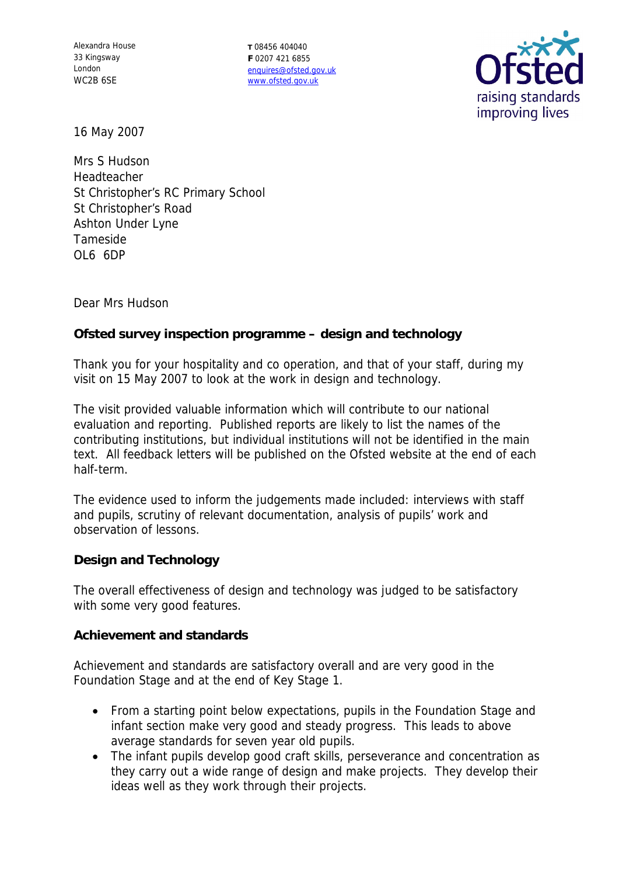Alexandra House 33 Kingsway London WC2B 6SE

**T** 08456 404040 **F** 0207 421 6855 enquires@ofsted.gov.uk www.ofsted.gov.uk



16 May 2007

Mrs S Hudson Headteacher St Christopher's RC Primary School St Christopher's Road Ashton Under Lyne Tameside OL6 6DP

Dear Mrs Hudson

**Ofsted survey inspection programme – design and technology**

Thank you for your hospitality and co operation, and that of your staff, during my visit on 15 May 2007 to look at the work in design and technology.

The visit provided valuable information which will contribute to our national evaluation and reporting. Published reports are likely to list the names of the contributing institutions, but individual institutions will not be identified in the main text. All feedback letters will be published on the Ofsted website at the end of each half-term.

The evidence used to inform the judgements made included: interviews with staff and pupils, scrutiny of relevant documentation, analysis of pupils' work and observation of lessons.

**Design and Technology**

The overall effectiveness of design and technology was judged to be satisfactory with some very good features.

**Achievement and standards**

Achievement and standards are satisfactory overall and are very good in the Foundation Stage and at the end of Key Stage 1.

- From a starting point below expectations, pupils in the Foundation Stage and infant section make very good and steady progress. This leads to above average standards for seven year old pupils.
- The infant pupils develop good craft skills, perseverance and concentration as they carry out a wide range of design and make projects. They develop their ideas well as they work through their projects.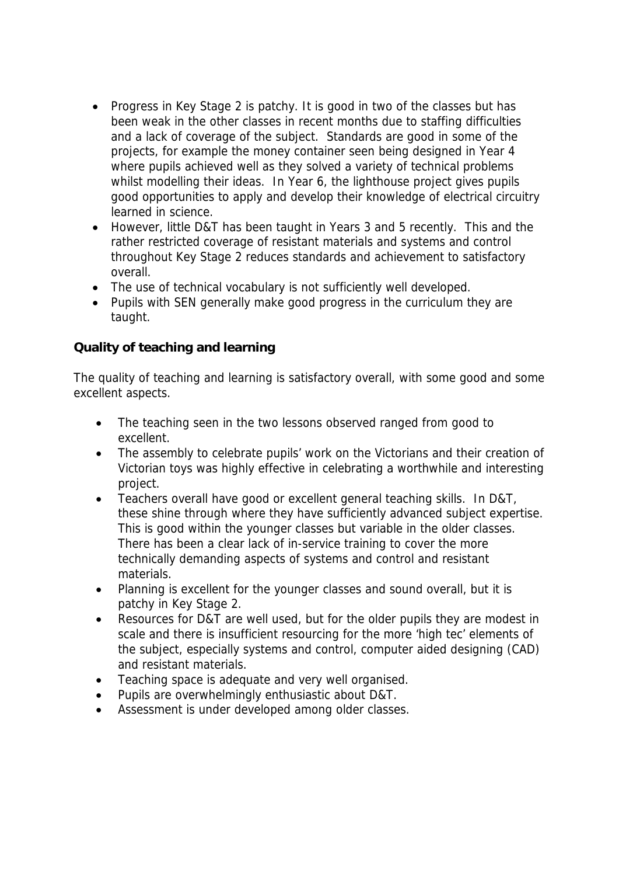- Progress in Key Stage 2 is patchy. It is good in two of the classes but has been weak in the other classes in recent months due to staffing difficulties and a lack of coverage of the subject. Standards are good in some of the projects, for example the money container seen being designed in Year 4 where pupils achieved well as they solved a variety of technical problems whilst modelling their ideas. In Year 6, the lighthouse project gives pupils good opportunities to apply and develop their knowledge of electrical circuitry learned in science.
- However, little D&T has been taught in Years 3 and 5 recently. This and the rather restricted coverage of resistant materials and systems and control throughout Key Stage 2 reduces standards and achievement to satisfactory overall.
- The use of technical vocabulary is not sufficiently well developed.
- Pupils with SEN generally make good progress in the curriculum they are taught.

**Quality of teaching and learning**

The quality of teaching and learning is satisfactory overall, with some good and some excellent aspects.

- The teaching seen in the two lessons observed ranged from good to excellent.
- The assembly to celebrate pupils' work on the Victorians and their creation of Victorian toys was highly effective in celebrating a worthwhile and interesting project.
- Teachers overall have good or excellent general teaching skills. In D&T, these shine through where they have sufficiently advanced subject expertise. This is good within the younger classes but variable in the older classes. There has been a clear lack of in-service training to cover the more technically demanding aspects of systems and control and resistant materials.
- Planning is excellent for the younger classes and sound overall, but it is patchy in Key Stage 2.
- Resources for D&T are well used, but for the older pupils they are modest in scale and there is insufficient resourcing for the more 'high tec' elements of the subject, especially systems and control, computer aided designing (CAD) and resistant materials.
- Teaching space is adequate and very well organised.
- Pupils are overwhelmingly enthusiastic about D&T.
- Assessment is under developed among older classes.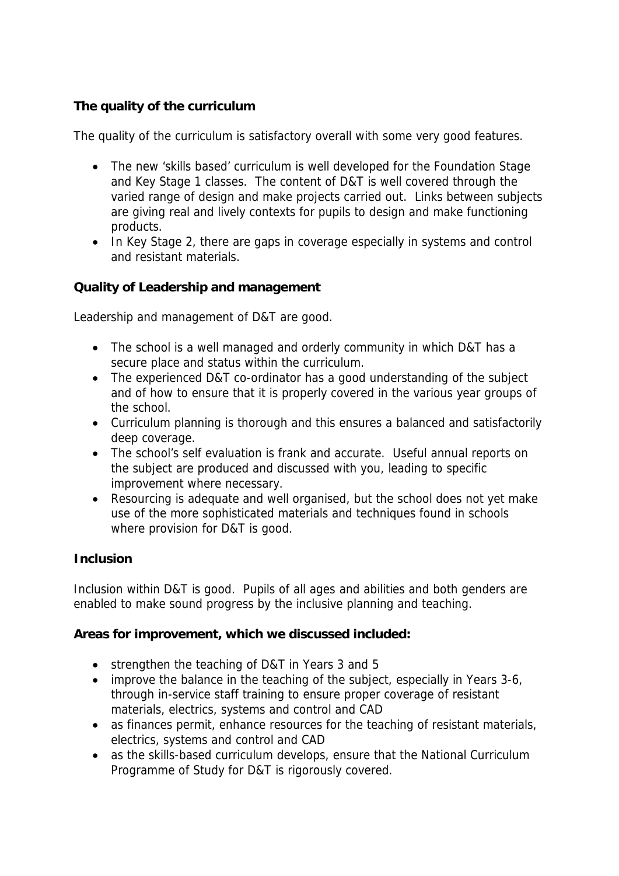## **The quality of the curriculum**

The quality of the curriculum is satisfactory overall with some very good features.

- The new 'skills based' curriculum is well developed for the Foundation Stage and Key Stage 1 classes. The content of D&T is well covered through the varied range of design and make projects carried out. Links between subjects are giving real and lively contexts for pupils to design and make functioning products.
- In Key Stage 2, there are gaps in coverage especially in systems and control and resistant materials.

**Quality of Leadership and management**

Leadership and management of D&T are good.

- The school is a well managed and orderly community in which D&T has a secure place and status within the curriculum.
- The experienced D&T co-ordinator has a good understanding of the subject and of how to ensure that it is properly covered in the various year groups of the school.
- Curriculum planning is thorough and this ensures a balanced and satisfactorily deep coverage.
- The school's self evaluation is frank and accurate. Useful annual reports on the subject are produced and discussed with you, leading to specific improvement where necessary.
- Resourcing is adequate and well organised, but the school does not yet make use of the more sophisticated materials and techniques found in schools where provision for D&T is good.

## **Inclusion**

Inclusion within D&T is good. Pupils of all ages and abilities and both genders are enabled to make sound progress by the inclusive planning and teaching.

**Areas for improvement, which we discussed included:**

- strengthen the teaching of D&T in Years 3 and 5
- improve the balance in the teaching of the subject, especially in Years 3-6, through in-service staff training to ensure proper coverage of resistant materials, electrics, systems and control and CAD
- as finances permit, enhance resources for the teaching of resistant materials, electrics, systems and control and CAD
- as the skills-based curriculum develops, ensure that the National Curriculum Programme of Study for D&T is rigorously covered.